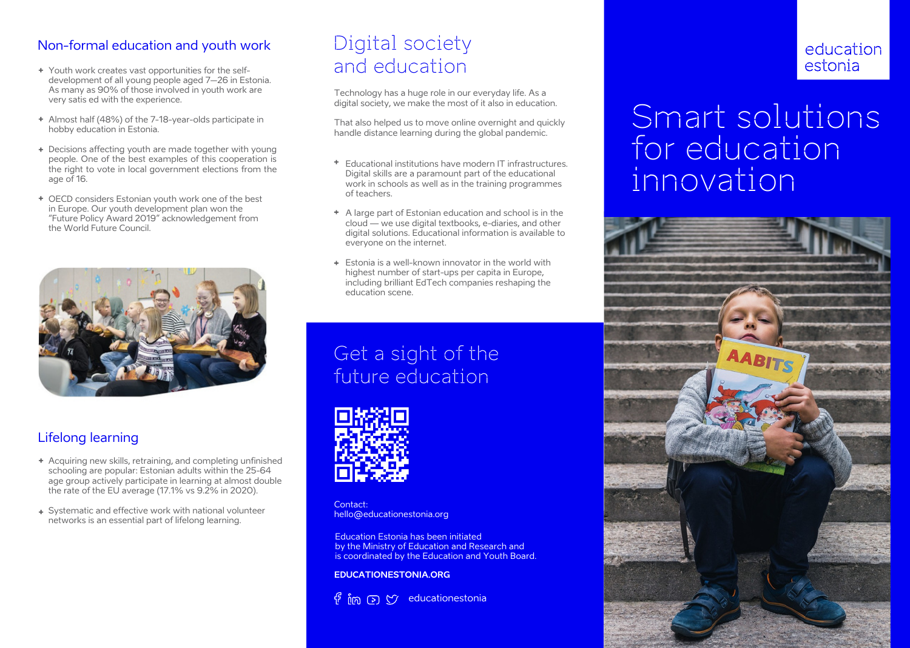## Non-formal education and youth work

- Youth work creates vast opportunities for the selfdevelopment of all young people aged 7–26 in Estonia. As many as 90% of those involved in youth work are very satis ed with the experience.
- Almost half (48%) of the 7-18-year-olds participate in hobby education in Estonia.
- + Decisions affecting youth are made together with young people. One of the best examples of this cooperation is the right to vote in local government elections from the age of 16.
- OECD considers Estonian youth work one of the best in Europe. Our youth development plan won the "Future Policy Award 2019" acknowledgement from the World Future Council.



## Lifelong learning

- Acquiring new skills, retraining, and completing unfinished schooling are popular: Estonian adults within the 25-64 age group actively participate in learning at almost double the rate of the EU average (17.1% vs 9.2% in 2020).
- Systematic and effective work with national volunteer networks is an essential part of lifelong learning.

# Digital society and education

Technology has a huge role in our everyday life. As a digital society, we make the most of it also in education.

That also helped us to move online overnight and quickly handle distance learning during the global pandemic.

- $+$ Educational institutions have modern IT infrastructures. Digital skills are a paramount part of the educational work in schools as well as in the training programmes of teachers.
- A large part of Estonian education and school is in the cloud — we use digital textbooks, e-diaries, and other digital solutions. Educational information is available to everyone on the internet.
- Estonia is a well-known innovator in the world with highest number of start-ups per capita in Europe, including brilliant EdTech companies reshaping the education scene.

# Get a sight of the future education



Contact: hello@educationestonia.org

Education Estonia has been initiated by the Ministry of Education and Research and is coordinated by the Education and Youth Board.

**EDUCATIONESTONIA.ORG**

 $\overline{f}$  im  $\overline{c}$   $\overline{y}$  educationestonia

# education estonia

# Smart solutions for education innovation